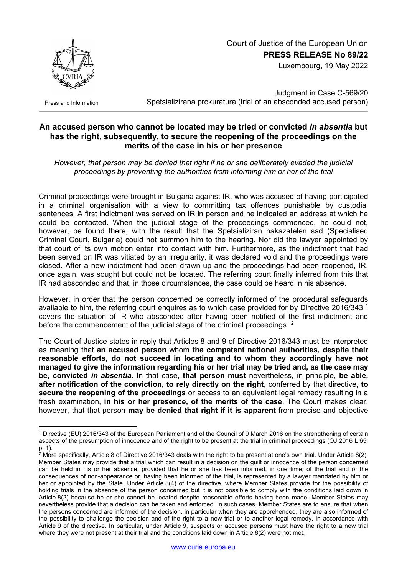## Court of Justice of the European Union **PRESS RELEASE No 89/22**

Luxembourg, 19 May 2022



Press and Information

-

Judgment in Case C-569/20 Spetsializirana prokuratura (trial of an absconded accused person)

## **An accused person who cannot be located may be tried or convicted** *in absentia* **but has the right, subsequently, to secure the reopening of the proceedings on the merits of the case in his or her presence**

*However, that person may be denied that right if he or she deliberately evaded the judicial proceedings by preventing the authorities from informing him or her of the trial*

Criminal proceedings were brought in Bulgaria against IR, who was accused of having participated in a criminal organisation with a view to committing tax offences punishable by custodial sentences. A first indictment was served on IR in person and he indicated an address at which he could be contacted. When the judicial stage of the proceedings commenced, he could not, however, be found there, with the result that the Spetsializiran nakazatelen sad (Specialised Criminal Court, Bulgaria) could not summon him to the hearing. Nor did the lawyer appointed by that court of its own motion enter into contact with him. Furthermore, as the indictment that had been served on IR was vitiated by an irregularity, it was declared void and the proceedings were closed. After a new indictment had been drawn up and the proceedings had been reopened, IR, once again, was sought but could not be located. The referring court finally inferred from this that IR had absconded and that, in those circumstances, the case could be heard in his absence.

However, in order that the person concerned be correctly informed of the procedural safeguards available to him, the referring court enquires as to which case provided for by Directive 20[1](#page-0-0)6/343<sup>1</sup> covers the situation of IR who absconded after having been notified of the first indictment and before the commencement of the judicial stage of the criminal proceedings. <sup>[2](#page-0-1)</sup>

The Court of Justice states in reply that Articles 8 and 9 of Directive 2016/343 must be interpreted as meaning that **an accused person** whom **the competent national authorities, despite their reasonable efforts, do not succeed in locating and to whom they accordingly have not managed to give the information regarding his or her trial may be tried and, as the case may be, convicted** *in absentia*. In that case, **that person must** nevertheless, in principle, **be able, after notification of the conviction, to rely directly on the right**, conferred by that directive, **to secure the reopening of the proceedings** or access to an equivalent legal remedy resulting in a fresh examination, **in his or her presence, of the merits of the case**. The Court makes clear, however, that that person **may be denied that right if it is apparent** from precise and objective

<span id="page-0-0"></span><sup>1</sup> Directive (EU) 2016/343 of the European Parliament and of the Council of 9 March 2016 on the strengthening of certain aspects of the presumption of innocence and of the right to be present at the trial in criminal proceedings (OJ 2016 L 65, p. 1).

<span id="page-0-1"></span><sup>&</sup>lt;sup>2</sup> More specifically, Article 8 of Directive 2016/343 deals with the right to be present at one's own trial. Under Article 8(2), Member States may provide that a trial which can result in a decision on the guilt or innocence of the person concerned can be held in his or her absence, provided that he or she has been informed, in due time, of the trial and of the consequences of non-appearance or, having been informed of the trial, is represented by a lawyer mandated by him or her or appointed by the State. Under Article 8(4) of the directive, where Member States provide for the possibility of holding trials in the absence of the person concerned but it is not possible to comply with the conditions laid down in Article 8(2) because he or she cannot be located despite reasonable efforts having been made, Member States may nevertheless provide that a decision can be taken and enforced. In such cases, Member States are to ensure that when the persons concerned are informed of the decision, in particular when they are apprehended, they are also informed of the possibility to challenge the decision and of the right to a new trial or to another legal remedy, in accordance with Article 9 of the directive. In particular, under Article 9, suspects or accused persons must have the right to a new trial where they were not present at their trial and the conditions laid down in Article 8(2) were not met.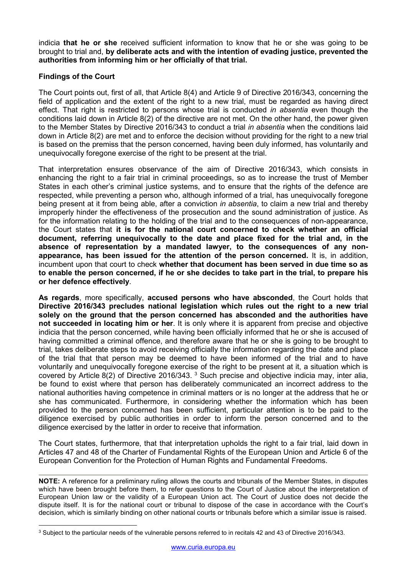indicia **that he or she** received sufficient information to know that he or she was going to be brought to trial and, **by deliberate acts and with the intention of evading justice, prevented the authorities from informing him or her officially of that trial.**

## **Findings of the Court**

The Court points out, first of all, that Article 8(4) and Article 9 of Directive 2016/343, concerning the field of application and the extent of the right to a new trial, must be regarded as having direct effect. That right is restricted to persons whose trial is conducted *in absentia* even though the conditions laid down in Article 8(2) of the directive are not met. On the other hand, the power given to the Member States by Directive 2016/343 to conduct a trial *in absentia* when the conditions laid down in Article 8(2) are met and to enforce the decision without providing for the right to a new trial is based on the premiss that the person concerned, having been duly informed, has voluntarily and unequivocally foregone exercise of the right to be present at the trial.

That interpretation ensures observance of the aim of Directive 2016/343, which consists in enhancing the right to a fair trial in criminal proceedings, so as to increase the trust of Member States in each other's criminal justice systems, and to ensure that the rights of the defence are respected, while preventing a person who, although informed of a trial, has unequivocally foregone being present at it from being able, after a conviction *in absentia*, to claim a new trial and thereby improperly hinder the effectiveness of the prosecution and the sound administration of justice. As for the information relating to the holding of the trial and to the consequences of non-appearance, the Court states that **it is for the national court concerned to check whether an official document, referring unequivocally to the date and place fixed for the trial and, in the absence of representation by a mandated lawyer, to the consequences of any nonappearance, has been issued for the attention of the person concerned.** It is, in addition, incumbent upon that court to check **whether that document has been served in due time so as to enable the person concerned, if he or she decides to take part in the trial, to prepare his or her defence effectively**.

**As regards**, more specifically, **accused persons who have absconded**, the Court holds that **Directive 2016/343 precludes national legislation which rules out the right to a new trial solely on the ground that the person concerned has absconded and the authorities have not succeeded in locating him or her**. It is only where it is apparent from precise and objective indicia that the person concerned, while having been officially informed that he or she is accused of having committed a criminal offence, and therefore aware that he or she is going to be brought to trial, takes deliberate steps to avoid receiving officially the information regarding the date and place of the trial that that person may be deemed to have been informed of the trial and to have voluntarily and unequivocally foregone exercise of the right to be present at it, a situation which is covered by Article 8(2) of Directive 2016/[3](#page-1-0)43.  $3$  Such precise and objective indicia may, inter alia, be found to exist where that person has deliberately communicated an incorrect address to the national authorities having competence in criminal matters or is no longer at the address that he or she has communicated. Furthermore, in considering whether the information which has been provided to the person concerned has been sufficient, particular attention is to be paid to the diligence exercised by public authorities in order to inform the person concerned and to the diligence exercised by the latter in order to receive that information.

The Court states, furthermore, that that interpretation upholds the right to a fair trial, laid down in Articles 47 and 48 of the Charter of Fundamental Rights of the European Union and Article 6 of the European Convention for the Protection of Human Rights and Fundamental Freedoms.

**NOTE:** A reference for a preliminary ruling allows the courts and tribunals of the Member States, in disputes which have been brought before them, to refer questions to the Court of Justice about the interpretation of European Union law or the validity of a European Union act. The Court of Justice does not decide the dispute itself. It is for the national court or tribunal to dispose of the case in accordance with the Court's decision, which is similarly binding on other national courts or tribunals before which a similar issue is raised.

<span id="page-1-0"></span><sup>1</sup> <sup>3</sup> Subject to the particular needs of the vulnerable persons referred to in recitals 42 and 43 of Directive 2016/343.